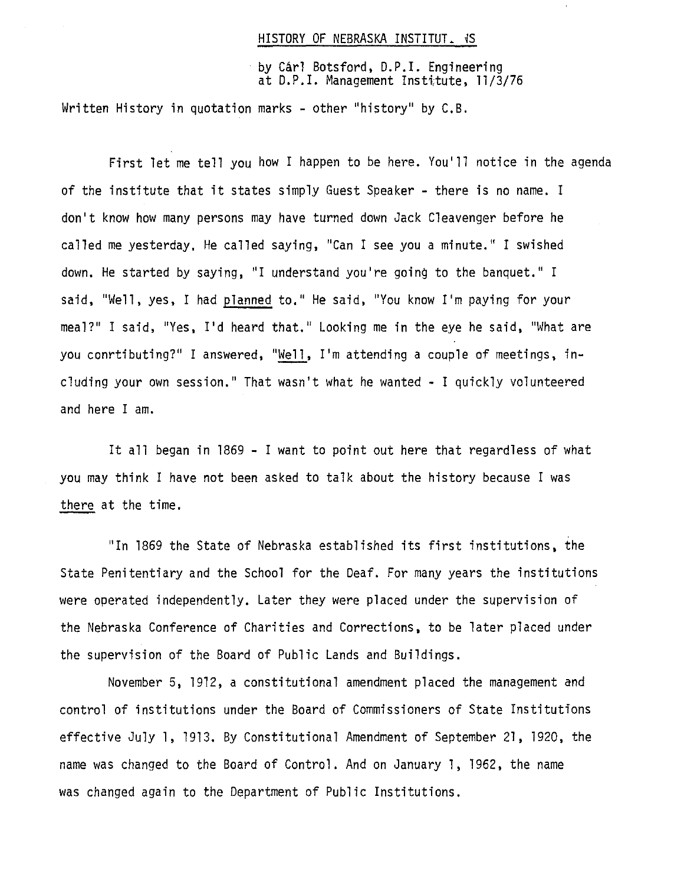#### HISTORY OF NEBRASKA INSTITUT. **IS**

by Carl Botsford, D.P.I. Engineering at D.P.I. Management Institute, 11/3/76

Written History in quotation marks - other "history" by C.B.

First let me tell you how I happen to be here. You'll notice in the agenda of the institute that it states simply Guest Speaker - there is no name. I don't know how many persons may have turned down Jack Cleavenger before he called me yesterday, He called saying, "Can I see you a minute." I swished down. He started by saying, "I understand you're going to the banquet." I said, "Well, yes, I had planned to." He said, "You know I'm paying for your meal?" I said, "Yes, I'd heard that." Looking me in the eye he said, "What are you conrtibuting?" I answered, "Well, I'm attending a couple of meetings, including your own session." That wasn't what he wanted - I quickly volunteered and here I am.

It all began in 1869 - I want to point out here that regardless of what you may think I have not been asked to talk about the history because I was there at the time.

"In 1869 the State of Nebraska established its first institutions, the State Penitentiary and the School for the Deaf. For many years the institutions were operated independently, Later they were placed under the supervision of the Nebraska Conference of Charities and Corrections, to be later placed under the supervision of the Board of Public Lands and Buildings.

November 5, 1912, a constitutional amendment placed the management and control of institutions under the Board of Commissioners of State Institutions effective July 1, 1913. By Constitutional Amendment of September 21, 1920, the name was changed to the Board of Control. And on January 1, 1962, the name was changed again to the Department of Public Institutions.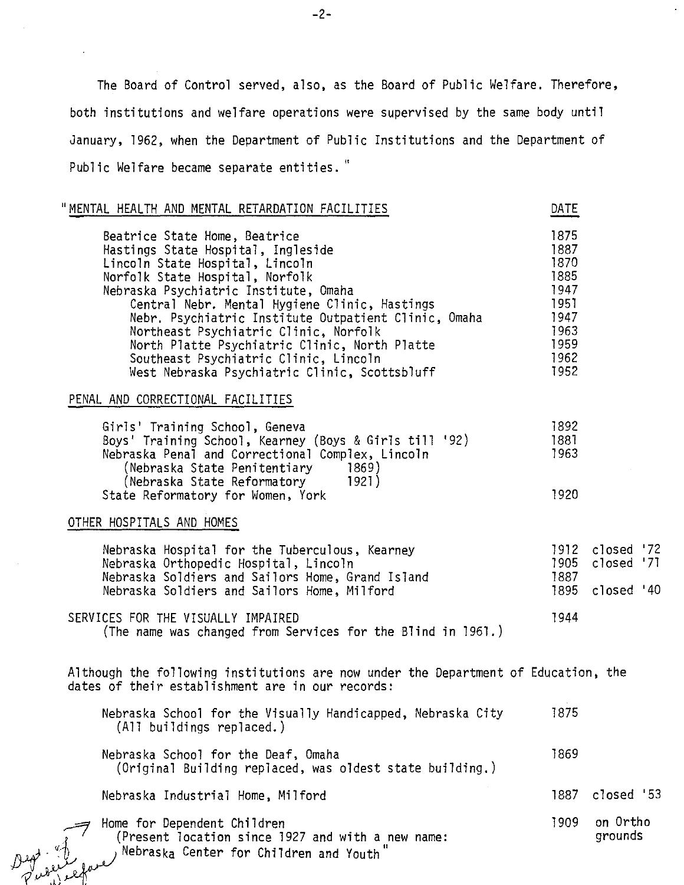The Board of Control served, also, as the Board of Public Welfare. Therefore, both institutions and welfare operations were supervised by the same body until January, 1962, when the Department of Public Institutions and the Department of Public Welfare became separate entities."

| "MENTAL HEALTH AND MENTAL RETARDATION FACILITIES                                                                                                                                                                                                                                                                                                                                                                                                                                | DATE                                                                                 |                                                 |  |
|---------------------------------------------------------------------------------------------------------------------------------------------------------------------------------------------------------------------------------------------------------------------------------------------------------------------------------------------------------------------------------------------------------------------------------------------------------------------------------|--------------------------------------------------------------------------------------|-------------------------------------------------|--|
| Beatrice State Home, Beatrice<br>Hastings State Hospital, Ingleside<br>Lincoln State Hospital, Lincoln<br>Norfolk State Hospital, Norfolk<br>Nebraska Psychiatric Institute, Omaha<br>Central Nebr. Mental Hygiene Clinic, Hastings<br>Nebr. Psychiatric Institute Outpatient Clinic, Omaha<br>Northeast Psychiatric Clinic, Norfolk<br>North Platte Psychiatric Clinic, North Platte<br>Southeast Psychiatric Clinic, Lincoln<br>West Nebraska Psychiatric Clinic, Scottsbluff | 1875<br>1887<br>1870<br>1885<br>1947<br>1951<br>1947<br>1963<br>1959<br>1962<br>1952 |                                                 |  |
| PENAL AND CORRECTIONAL FACILITIES                                                                                                                                                                                                                                                                                                                                                                                                                                               |                                                                                      |                                                 |  |
| Girls' Training School, Geneva<br>Boys' Training School, Kearney (Boys & Girls till '92)<br>Nebraska Penal and Correctional Complex, Lincoln<br>(Nebraska State Penitentiary<br>1869)<br>(Nebraska State Reformatory<br>1921)<br>State Reformatory for Women, York                                                                                                                                                                                                              | 1892<br>1881<br>1963<br>1920                                                         |                                                 |  |
| OTHER HOSPITALS AND HOMES                                                                                                                                                                                                                                                                                                                                                                                                                                                       |                                                                                      |                                                 |  |
| Nebraska Hospital for the Tuberculous, Kearney<br>Nebraska Orthopedic Hospital, Lincoln<br>Nebraska Soldiers and Sailors Home, Grand Island<br>Nebraska Soldiers and Sailors Home, Milford                                                                                                                                                                                                                                                                                      | 1905<br>1887<br>1895                                                                 | 1912 closed '72<br>$closed$ $'71$<br>closed '40 |  |
| SERVICES FOR THE VISUALLY IMPAIRED<br>(The name was changed from Services for the Blind in 1961.)                                                                                                                                                                                                                                                                                                                                                                               | 1944                                                                                 |                                                 |  |
| Although the following institutions are now under the Department of Education, the<br>dates of their establishment are in our records:                                                                                                                                                                                                                                                                                                                                          |                                                                                      |                                                 |  |
| Nebraska School for the Visually Handicapped, Nebraska City<br>(All buildings replaced.)                                                                                                                                                                                                                                                                                                                                                                                        | 1875                                                                                 |                                                 |  |
| Nebraska School for the Deaf, Omaha<br>(Original Building replaced, was oldest state building.)                                                                                                                                                                                                                                                                                                                                                                                 | 1869                                                                                 |                                                 |  |
| Nebraska Industrial Home, Milford                                                                                                                                                                                                                                                                                                                                                                                                                                               | 1887                                                                                 | closed '53                                      |  |
| Home for Dependent Children<br>(Present location since 1927 and with a new name:<br>Nebraska Center for Children and Youth                                                                                                                                                                                                                                                                                                                                                      | 1909                                                                                 | on Ortho<br>grounds                             |  |

 $\sim$   $\frac{1}{2}$  ,  $\frac{1}{2}$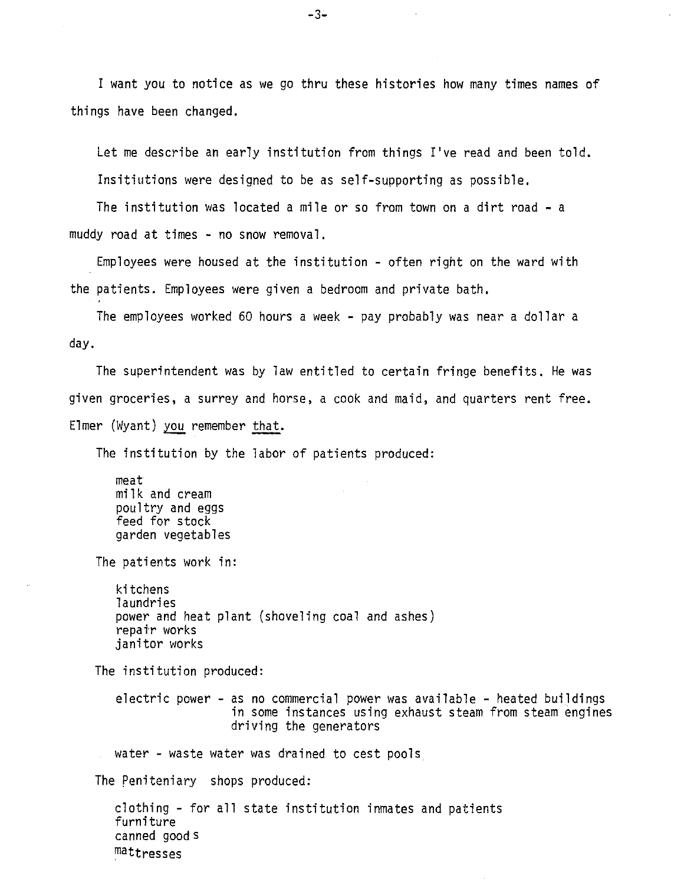I want you to notice as we go thru these histories how many times names of things have been changed.

Let me describe an early institution from things I've read and been told. Insitiutions were designed to be as self-supporting as possible.

The institution was located a mile or so from town on a dirt road - a muddy road at times - no snow removal.

Employees were housed at the institution - often right on the ward with the patients. Employees were given a bedroom and private bath.

The employees worked 60 hours a week - pay probably was near a dollar a day.

The superintendent was by law entitled to certain fringe benefits. He was given groceries, a surrey and horse, a cook and maid, and quarters rent free. Elmer (Wyant) you remember that.

The institution by the labor of patients produced:

meat milk and cream poultry and eggs feed for stock garden vegetables

The patients work in:

kitchens laundries power and heat plant (shoveling coal and ashes) repair works janitor works

The institution produced:

electric power - as no commercial power was available - heated buildings<br>in some instances using exhaust steam from steam engines<br>driving the generators

water - waste water was drained to cest pools

The peniteniary shops produced:

clothing - for all state institution inmates and patients furniture canned good s mattresses

 $-3-$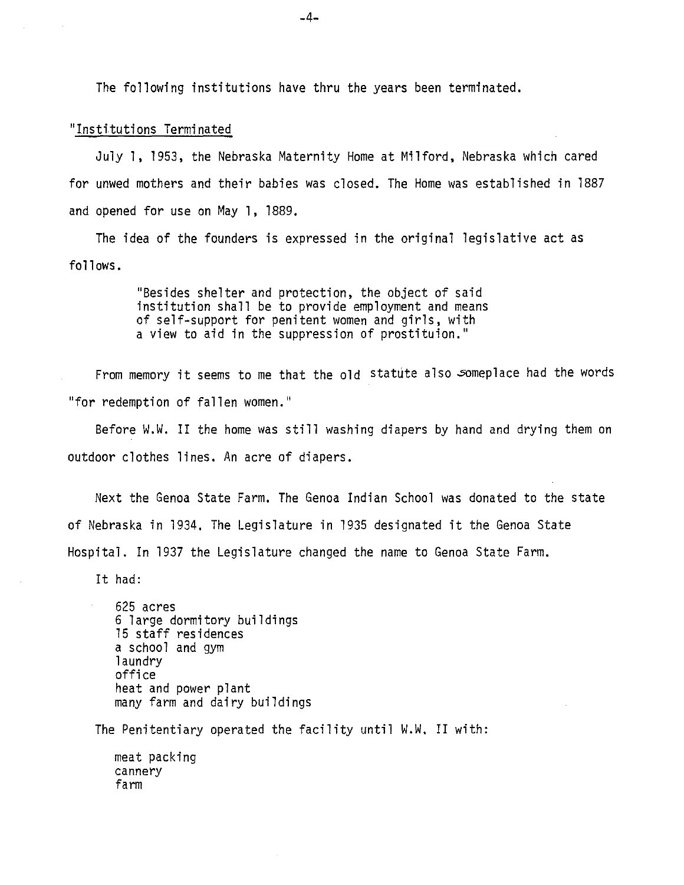The following institutions have thru the years been terminated.

### "Institutions Terminated

July 1, 1953, the Nebraska Maternity Home at Milford, Nebraska which cared for unwed mothers and their babies was closed. The Home was established in 1887 and opened for use on May 1, 1889.

The idea of the founders is expressed in the original legislative act as follows.

> "Besides shelter and protection, the object of said institution shall be to provide employment and means of self-support for penitent women and girls, with a view to aid in the suppression of prostituion."

From memory it seems to me that the old statute also someplace had the words "for redemption of fallen women."

Before W.W. II the home was still washing diapers by hand and drying them on outdoor clothes lines. An acre of diapers.

Next the Genoa State Farm. The Genoa Indian School was donated to the state of Nebraska in 1934. The Legislature in 1935 designated it the Genoa State Hospital. In 1937 the Legislature changed the name to Genoa State Farm.

It had:

625 acres 6 large dormitory buildings 15 staff residences a school and gym 1aundry office heat and power plant many farm and dairy buildings

The Penitentiary operated the facility until W.W. II with:

meat packing cannery farm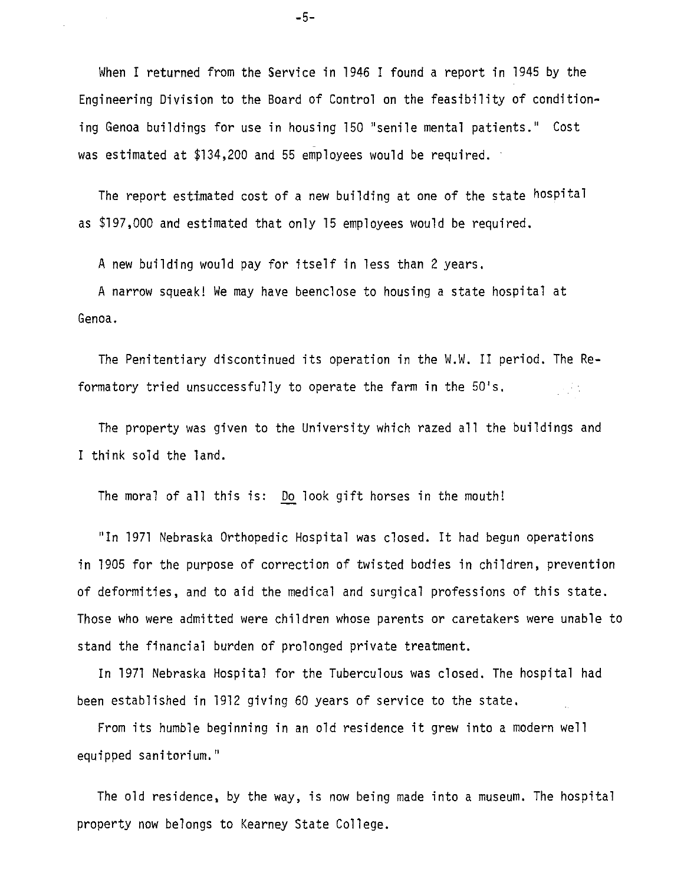When I returned from the Service in 1946 I found a report in 1945 by the Engineering Division to the Board of Control on the feasibility of conditioning Genoa buildings for use in housing 150 "senile mental patients." Cost was estimated at \$134,200 and 55 employees would be required.

The report esttmated cost of a new building at one of the state hospital as \$197,000 and estimated that only 15 employees would be required.

A new building would pay for itself in less than 2 years.

A narrow squeak! We may have beenclose to housing a state hospital at Genoa.

The Penitentiary discontinued its operation in the W.W. II period. The Reformatory tried unsuccessfully to operate the farm in the 50's. per 1

The property was given to the University which razed all the buildings and I think sold the land.

The moral of all this is: Do look gift horses in the mouth!

"In 1971 Nebraska Orthopedic Hospital was closed. It had begun operations in 1905 for the purpose of correction of twisted bodies in children, prevention of deformities, and to aid the medical and surgical professions of this state. Those who were admitted were children whose parents or caretakers were unable to stand the financial burden of prolonged private treatment.

In 1971 Nebraska Hospital for the Tuberculous was closed. The hospital had been established in 1912 giving 60 years of service to the state.

From its humble beginning in an old residence it grew into a modern well equipped sanitarium."

The old residence, by the way, is now being made into a museum. The hospital property now belongs to Kearney State College.

 $-5-$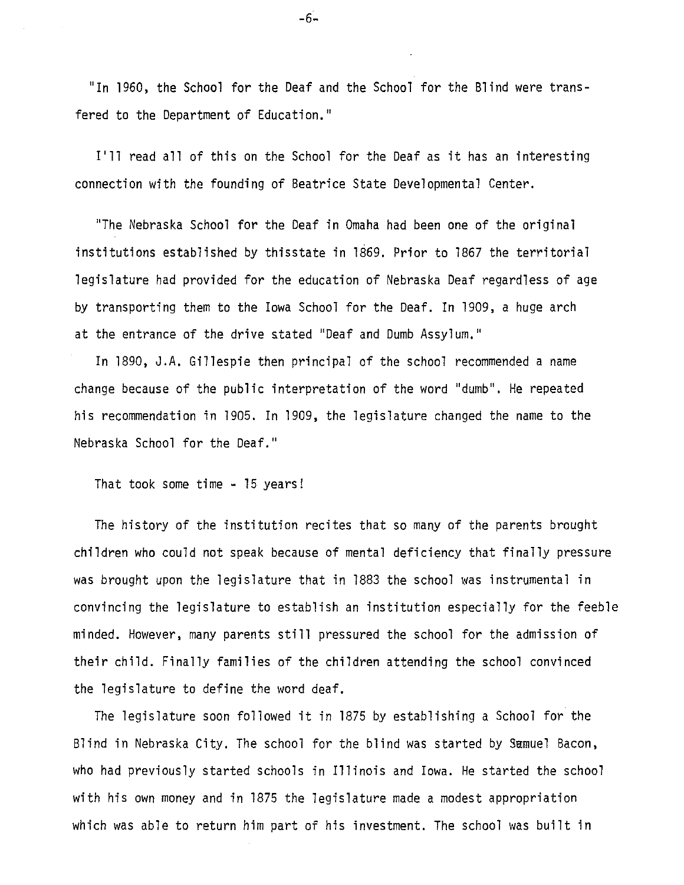"In 1960, the Schoo1 for the Deaf and the Schoo1 for the Blind were transfered to the Department of Education."

I'll read all of this on the School for the Deaf as it has an interesting connection with the founding of Beatrice State Developmental Center.

"The Nebraska School for the Deaf in Omaha had been one of the original institutions established by thisstate in 1S69. Prior to 1867 the territorial legislature had provided for the education of Nebraska Deaf regardless of age by transporting them to the Iowa School for the Deaf. In 1909, a huge arch at the entrance of the drive stated "Deaf and Dumb Assylum."

In 1890, J.A. Gillespie then principal of the school recommended a name change because of the public interpretation of the word "dumb". He repeated his recommendation in 1905. In 1909, the legislature changed the name to the Nebraska School for the Deaf."

That took some time - 15 years!

The history of the institution recites that so many of the parents brought children who could not speak because of mental deficiency that finally pressure was brought upon the legislature that in 1883 the school was instrumental in convincing the legislature to establish an institution especially for the feeble minded. However, many parents still pressured the school for the admission of their child. Finally families of the children attending the school convinced the legislature to define the word deaf.

The legislature soon followed it in 1875 by establishing a School for the Blind in Nebraska City. The school for the blind was started by Samuel Bacon, who had previously started schools in Illinois and Iowa. He started the school with his own money and in 1875 the legislature made a modest appropriation which was able to return him part of his investment. The school was built in

 $-6 -$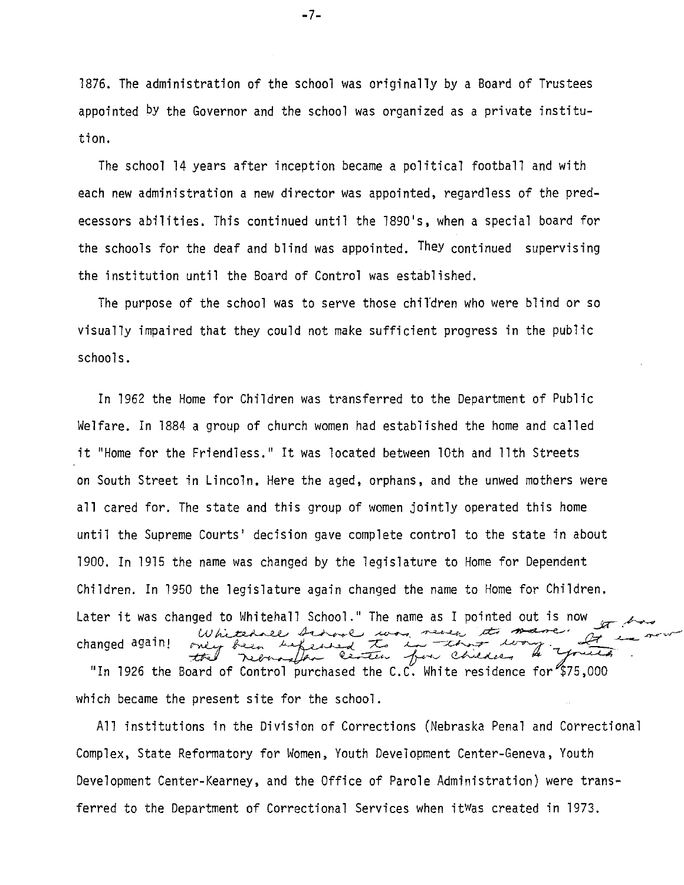1876. The administration of the school was originally by a Board of Trustees appointed by the Governor and the school was organized as a private institution.

The school 14 years after inception became a political football and with each new administration a new director was appointed, regardless of the predecessors abilities. This continued until the 1890's, when a special board for the schools for the deaf and blind was appointed. They continued supervising the institution until the Board of Control was established.

The purpose of the school was to serve those chil'dren who were blind or so visually impaired that they could not make sufficient progress in the public schools.

In 1962 the Home for Children was transferred to the Department of Public Welfare. In 1884 a group of church women had established the home and called it "Home for the Friendless." It was located between 10th and 11th Streets on South Street in Lincoln. Here the aged, orphans, and the unwed mothers were all cared for. The state and this group of women jointly operated this home until the Supreme Courts' decision gave complete control to the state in about 1900. In 1915 the name was changed by the legislature to Home for Dependent Children. In 1950 the legislature again changed the name to Home for Children. Later it was changed to Whitehall School." The name as I pointed out is now changed again!  $\pi$ , and land to Whitehall School." The name as I pointed out is now<br>Whitehole Artone was never to mane at the now<br>only been befeared the Continue of the contract of the contract of "In 1926 the Board of Control purchased the C.C. White residence for \$75,000

All institutions in the Division of Corrections (Nebraska Penal and Correctional Complex, State Reformatory for Women, Youth Development Center-Geneva, Youth Development Center-Kearney, and the Office of Parole Administration) were transferred to the Department of Correctional Services when itWas created in 1973.

which became the present site for the school.

 $-7-$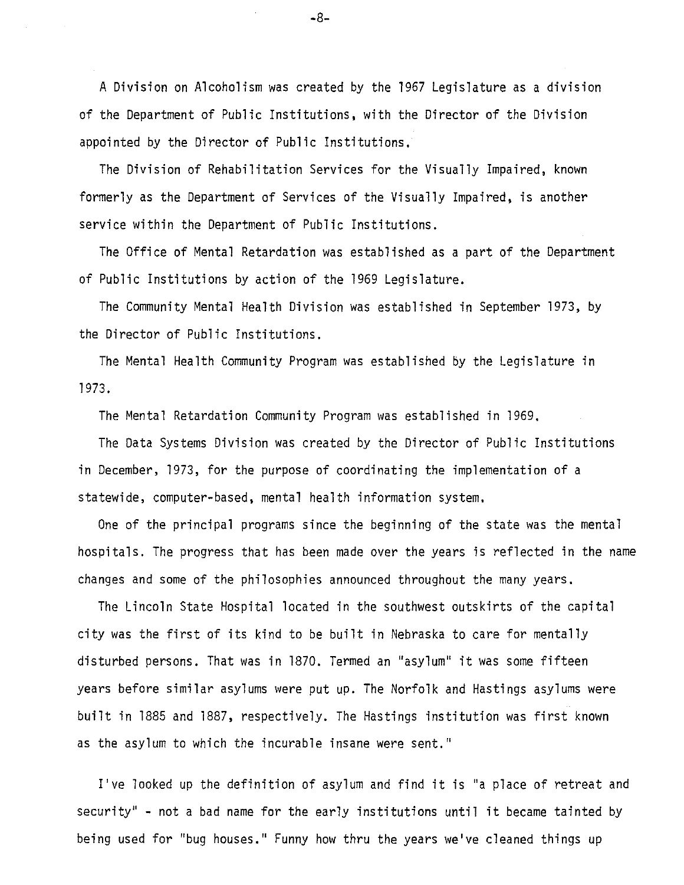A Division on Alcoholism was created by the 1967 Legislature as a division of the Department of Public Institutions, with the Director of the Division appointed by the Director of Public Institutions.

The Division of Rehabilitation Services for the Visually Impaired, known formerly as the Department of Services of the Visually Impaired, is another service within the Department of Public Institutions.

The Office of Mental Retardation was established as a part of the Department of Public Institutions by action of the 1969 Legislature.

The Community Mental Health Division was established in September 1973, by the Director of Public Institutions.

The Mental Health Community Program was established by the Legislature in 1973.

The Mental Retardation Community Program was established in 1969,

The Data Systems Division was created by the Director of Public Institutions in December, 1973, for the purpose of coordinating the implementation of a statewide, computer-based, mental health information system.

One of the principal programs since the beginning of the state was the mental hospitals. The progress that has been made over the years is reflected in the name changes and some of the philosophies announced throughout the many years.

The Lincoln State Hospital located in the southwest outskirts of the capital city was the first of its kind to be built in Nebraska to care for mentally disturbed persons. That was in 1870. Termed an "asylum" it was some fifteen years before similar asylums were put up. The Norfolk and Hastings asylums were built in 1885 and 1887, respectively. The Hastings institution was first known as the asylum to which the incurable insane were sent.''

I've looked up the definition of asylum and find it is "a place of retreat and security" - not a bad name for the early institutions until it became tainted by being used for "bug houses." Funny how thru the years we've cleaned things up

-8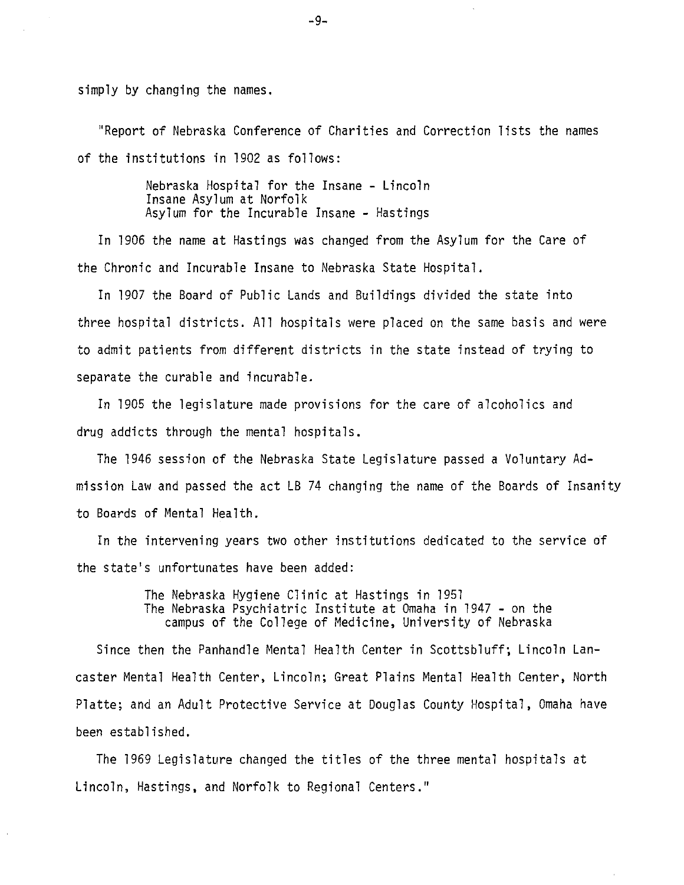simply by changing the names.

"Report of Nebraska Conference of Charities and Correction lists the names of the institutions in 1902 as follows:

> Nebraska Hospital for the Insane - Lincoln Insane Asylum at Norfolk Asylum for the Incurable Insane - Hastings

In 1906 the name at Hastings was changed from the Asylum for the Care of the Chronic and Incurable Insane to Nebraska State Hospital.

In 1907 the Board of Public Lands and Buildings divided the state into three hospital districts. All hospitals were placed on the same basis and were to admit patients from different districts in the state instead of trying to separate the curable and incurable.

In 1905 the legislature made provisions for the care of alcoholics and drug addicts through the mental hospitals.

The 1946 session of the Nebraska State Legislature passed a Voluntary Admission Law and passed the act LB 74 changing the name of the Boards of Insanity to Boards of Mental Health.

In the intervening years two other institutions dedicated to the service of the state's unfortunates have been added:

> The Nebraska Hygiene Clinic at Hastings in 1951 The Nebraska Psychiatric Institute at Omaha in 1947 - on the campus of the College of Medicine, University of Nebraska

Since then the Panhandle Mental Health Center in Scottsbluff; Lincoln Lancaster Mental Health Center, Lincoln; Great Plains Mental Health Center, North Platte; and an Adult Protective Service at Douglas County Hospital, Omaha have been established.

The 1969 Legislature changed the titles of the three mental hospitals at Lincoln, Hastings, and Norfolk to Regional Centers."

 $-9-$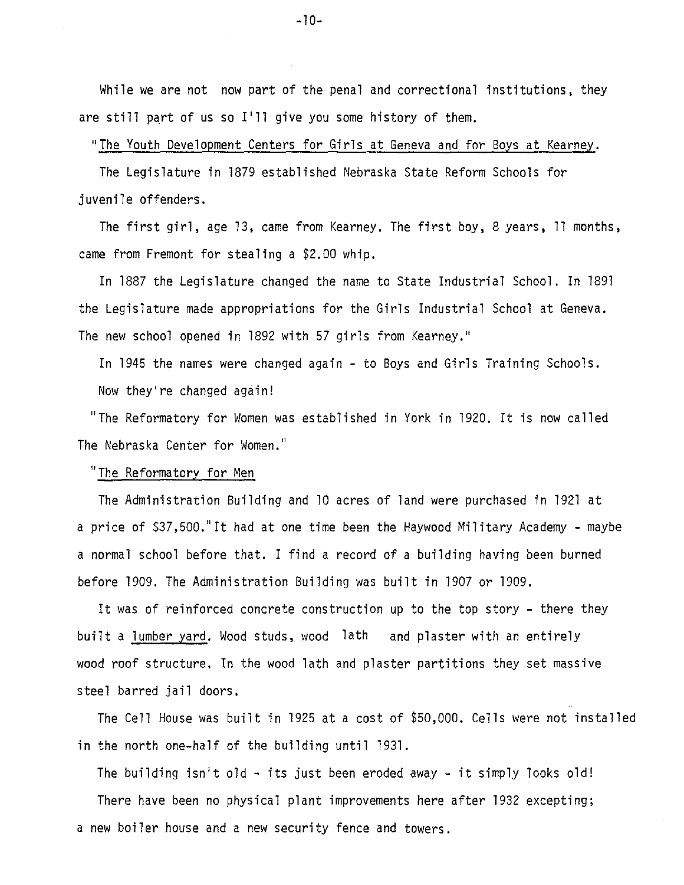While we are not now part of the penal and correctional institutions, they are still part of us so I'll give you some history of them.

#### "The Youth Development Centers for Girls at Geneva and for Boys at Kearney.

The Legislature in 1879 established Nebraska State Reform Schools for juvenile offenders.

The first girl, age 13, came from Kearney. The first boy, 8 years, 11 months, came from Fremont for stealing a \$2.00 whip.

In 1887 the Legislature changed the name to State Industrial School. In l8gl the Legislature made appropriations for the Girls Industrial School at Geneva. The new school opened in 1892 with 57 girls from Kearney."

In 1945 the names were changed again - to Boys and Girls Training Schools. Now they're changed again!

"The Reformatory for Women was established in York in 1920. It is now called The Nebraska Center for Women."

## "The Reformatory for Men

The Administration Building and 10 acres of land were purchased in 1921 at a price of \$37,500." It had at one time been the Haywood Military Academy - maybe a normal school before that. I find a record of a building having been burned before 1909. The Administration Building was built in 1907 or 1909.

It was of reinforced concrete construction up to the top story - there they built a lumber yard. Wood studs, wood lath and plaster with an entirely wood roof structure. In the wood lath and plaster partitions they set massive steel barred jail doors.

The Cell House was built in 1925 at a cost of \$50,000. Cells were not installed in the north one-half of the building until 1931.

The building isn't old  $-$  its just been eroded away  $-$  it simply looks old!

There have been no physical plant improvements here after 1932 excepting; a new boiler house and a new security fence and towers.

 $-10-$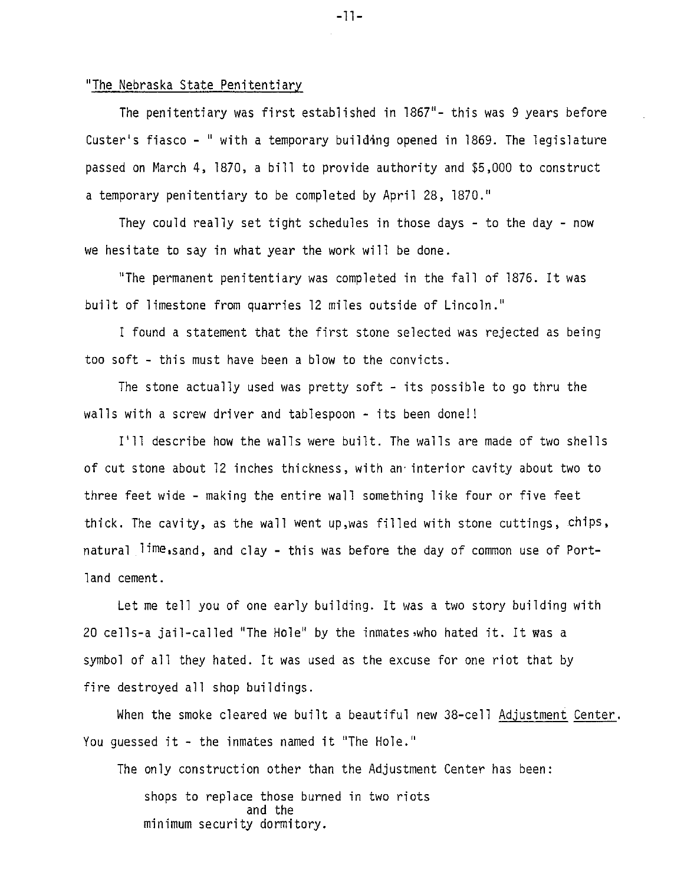### "The Nebraska State Penitentiary

The penitentiary was first established in 1867"- this was 9 years before Custer's fiasco - " with a temporary building opened in 1869. The legislature passed on March 4, 1870, a bill to provide authority and \$5,000 to construct a temporary penitentiary to be completed by April 28, 1870."

They could really set tight schedules in those days - to the day - now we hesitate to say in what year the work will be done.

"The permanent penitentiary was completed in the fall of 1876. It was built of limestone from quarries 12 miles outside of Lincoln."

I found a statement that the first stone selected was rejected as being too soft - this must have been a blow to the convicts.

The stone actually used was pretty soft - its possible to go thru the walls with a screw driver and tablespoon - its been done!!

I'll describe how the walls were built. The walls are made of two shells of cut stone about 12 inches thickness, with an· interior cavity about two to three feet wide - making the entire wall something like four or five feet thick. The cavity, as the wall went up,was filled with stone cuttings, chips, natural lime,sand, and clay - this was before the day of common use of Port-1and cement.

Let me tell you of one early building. It was a two story building with 20 cells-a jail-called "The Hole" by the inmates.who hated it. It was a symbol of all they hated. It was used as the excuse for one riot that by fire destroyed all shop buildings.

When the smoke cleared we built a beautiful new 38-cell Adjustment Center. You guessed it - the inmates named it "The Hole."

The only construction other than the Adjustment Center has been: shops to replace those burned in two riots and the minimum security dormitory.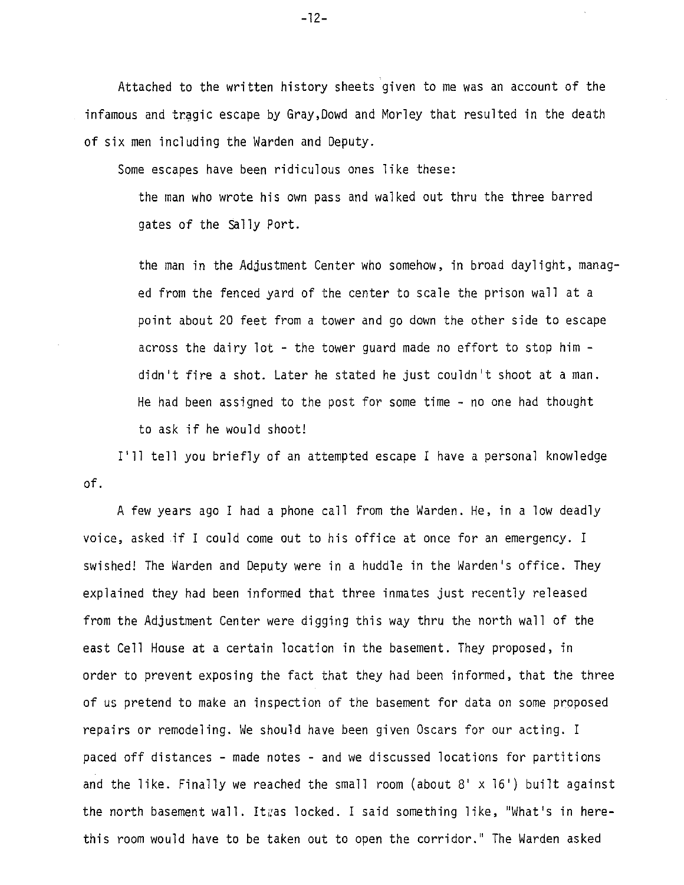Attached to the written history sheets given to me was an account of the infamous and tragic escape by Gray, Dowd and Morley that resulted in the death of six men including the Warden and Deputy.

Some escapes have been ridiculous ones like these:

the man who wrote his own pass and walked out thru the three barred gates of the Sally Port.

the man in the Adjustment Center who somehow, in broad daylight, managed from the fenced yard of the center to scale the prison wall at a point about 20 feet from a tower and go down the other side to escape across the dairy lot - the tower guard made no effort to stop him didn't fire a shot. Later he stated he just couldn't shoot at a man. He had been assigned to the post for some time - no one had thought to ask if he would shoot!

I'll tell you briefly of an attempted escape I have a personal knowledge of.

A few years ago I had a phone call from the Warden. He, in a low deadly voice, asked if I could come out to his office at once for an emergency. I swished! The Warden and Deputy were in a huddle in the Warden's office. They explained they had been informed that three inmates just recently released from the Adjustment Center were digging this way thru the north wall of the east Cell House at a certain location in the basement. They proposed, in order to prevent exposing the fact that they had been informed, that the three of us pretend to make an inspection of the basement for data on some proposed repairs or remodeling. We should have been given Oscars for our acting. I paced off distances - made notes - and we discussed locations for partitions and the like. Finally we reached the small room (about  $8' \times 16'$ ) built against the north basement wall. Itgas locked. I said something like, "What's in herethis room would have to be taken out to open the corridor." The Warden asked

 $-12-$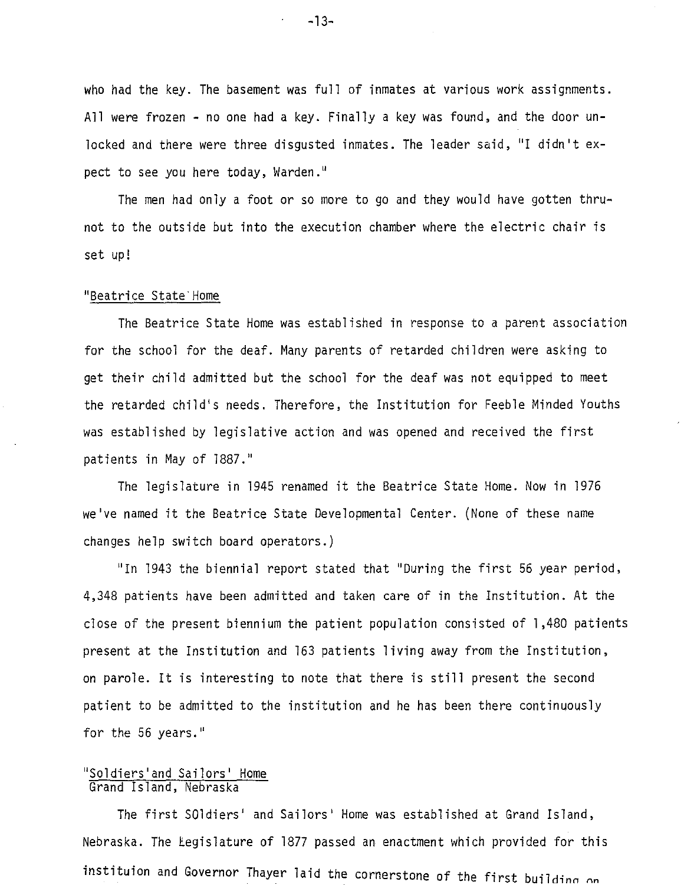who had the key. The basement was full of inmates at various work assignments. All were frozen - no one had a key. Finally a key was found, and the door unlocked and there were three disgusted inmates. The leader said, "I didn't expect to see you here today, Warden."

The men had only a foot or so more to go and they would have gotten thrunot to the outside but into the execution chamber where the electric chair is set up!

### "Beatrice State Home

The Beatrice State Home was established in response to a parent association for the school for the deaf. Many parents of retarded children were asking to get their child admitted but the school for the deaf was not equipped to meet the retarded child's needs. Therefore, the Institution for Feeble Minded Youths was established by legislative action and was opened and received the first patients in May of 1887.''

The legislature in 1945 renamed it the Beatrice State Home. Now in 1976 we've named it the Beatrice State Developmental Center. (None of these name changes help switch board operators.)

''In 1943 the biennial report stated that ''During the first 56 year period, 4,348 patients have been admitted and taken care of in the Institution. At the close of the present biennium the patient population consisted of l ,480 patients present at the Institution and 163 patients living away from the Institution, on parole. It is interesting to note that there is still present the second patient to be admitted to the institution and he has been there continuously for the 56 years."

# "Soldiers'and Sailors' Home Grand Island, Nebraska

The first SOldiers' and Sailors' Home was established at Grand Island, Nebraska. The Legislature of 1877 passed an enactment which provided for this instituion and Governor Thayer laid the cornerstone of the first building on

 $-13-$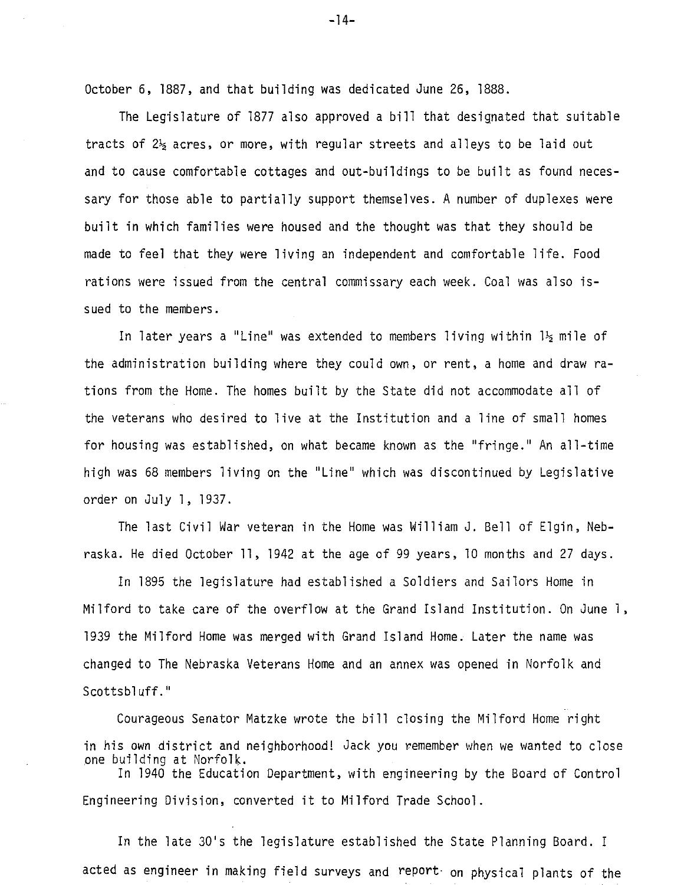October 6, 1887, and that building was dedicated June 26, 1888.

The Legislature of 1877 also approved a bill that designated that suitable tracts of  $2\frac{1}{2}$  acres, or more, with regular streets and alleys to be laid out and to cause comfortable cottages and out-buildings to be built as found necessary for those able to partially support themselves. A number of duplexes were built in which families were housed and the thought was that they should be made to feel that they were living an independent and comfortable life. Food rations were issued from the central commissary each week. Coal was also issued to the members.

In later years a "Line" was extended to members living within  $l_2$  mile of the administration building where they could own, or rent, a home and draw rations from the Home. The homes built by the State did not accommodate all of the veterans who desired to live at the Institution and a line of small homes for housing was established, on what became known as the "fringe." An all-time high was 68 members living on the "Line" which was discontinued by Legislative order on July 1, 1937.

The last Civil War veteran in the Home was William J. Bell of Elgin, Nebraska. He died October 11, 1942 at the age of 99 years, 10 months and 27 days.

In 1895 the legislature had established a Soldiers and Sailors Home in Milford to take care of the overflow at the Grand Island Institution. On June l, 1939 the Milford Home was merged with Grand Island Home. Later the name was changed to The Nebraska Veterans Home and an annex was opened in Norfolk and Scottsbluff."

Courageous Senator Matzke wrote the bill closing the Milford Home right in his own district and neighborhood! Jack you remember when we wanted to close one building at Norfolk. In 1940 the Education Department, with engineering by the Board of Control

Engineering Division, converted it to Milford Trade School.

In the late 30's the legislature established the State Planning Board. I acted as engineer in making field surveys and report· on physical plants of the

 $-14-$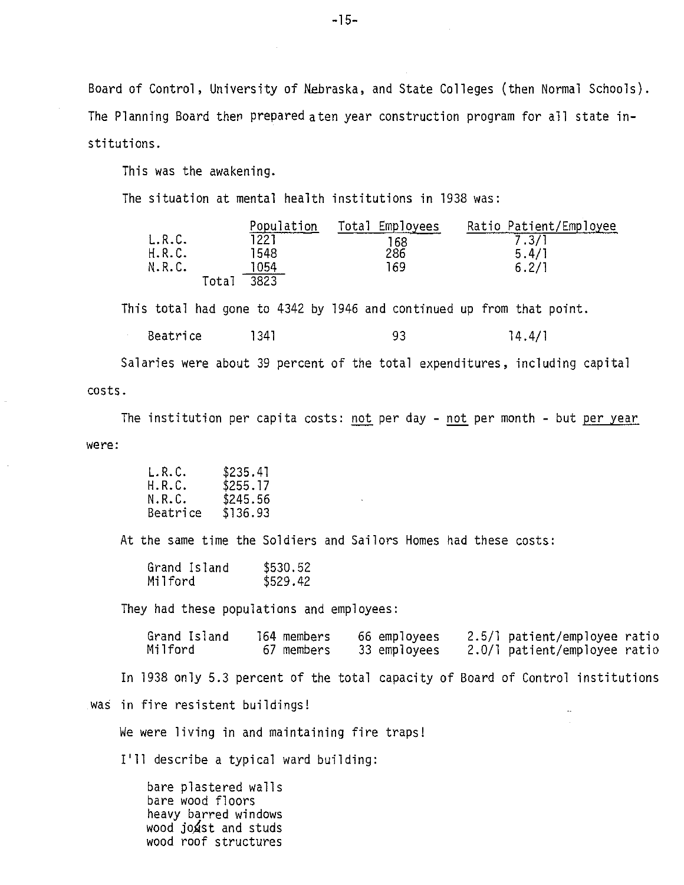Board of Control, University of Nebraska, and State Colleges (then Normal Schools). The Planning Board then prepared aten year construction program for all state institutions.

This was the awakening.

The situation at mental health institutions in 1938 was:

|        |       | Population | Total Employees | Ratio Patient/Employee |
|--------|-------|------------|-----------------|------------------------|
| L.R.C. |       | 1221.      | 168             | 7.3/1                  |
| H.R.C. |       | 1548       | 286             | 5.4/1                  |
| N.R.C. |       | 1054       | 169             | 6.2/1                  |
|        | Total | 3823       |                 |                        |

This total had gone to 4342 by 1946 and continued up from that point.

| Beatrice | 1341 |  | 14.4/1 |
|----------|------|--|--------|
|----------|------|--|--------|

Salaries were about 39 percent of the total expenditures, including capital costs.

The institution per capita costs: not per day - not per month - but per year were:

| \$235.41 |
|----------|
| \$255.17 |
| \$245.56 |
| \$136.93 |
|          |

At the same time the Soldiers and Sailors Homes had these costs:

| Grand Island | \$530.52 |
|--------------|----------|
| Milford      | \$529.42 |

They had these populations and employees:

| Grand Island | 164 members | 66 employees | 2.5/1 patient/employee ratio |
|--------------|-------------|--------------|------------------------------|
| Milford      | 67 members  | 33 employees | 2.0/1 patient/employee ratio |

 $\sim$ 

In 1938 only 5.3 percent of the total capacity of Board of Control institutions

was in fire resistent buildings!

We were living in and maintaining fire traps!

I'll describe a typical ward building:

bare plastered walls bare wood floors heavy barred windows wood joxst and studs wood roof structures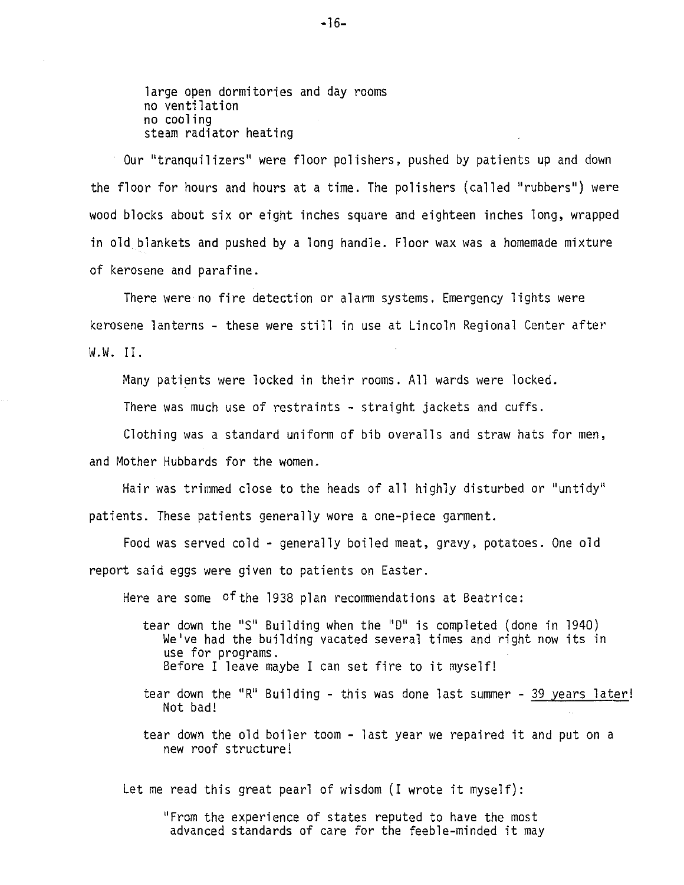large open dormitories and day rooms no ventilation no cooling steam radiator heating

Our "tranquilizers" were floor polishers, pushed by patients up and down the floor for hours and hours at a time. The polishers (called "rubbers") were wood blocks about six or eight inches square and eighteen inches long, wrapped in old blankets and pushed by a long handle. Floor wax was a homemade mixture of kerosene and parafine.

There were no fire detection or alarm systems. Emergency lights were kerosene lanterns - these were still in use at Lincoln Regional Center after W.W. II.

Many patients were locked in their rooms. All wards were locked.

There was much use of restraints - straight jackets and cuffs.

Clothing was a standard uniform of bib overalls and straw hats for men, and Mother Hubbards for the women.

Hair was trimmed close to the heads of all highly disturbed or "untidy" patients. These patients generally wore a one-piece garment.

Food was served cold - generally boiled meat, gravy, potatoes. One old report said eggs were given to patients on Easter.

Here are some of the 1938 plan recommendations at Beatrice:

- tear down the "S" Building when the "D" is completed (done in 1940) We've had the building vacated several times and right now its in use for programs. Before I leave maybe I can set fire to it myself!
- tear down the "R" Building this was done last summer 39 years later! Not bad!
- tear down the old boiler toom last year we repaired it and put on a new roof structure!

Let me read this great pearl of wisdom (I wrote it myself):

''From the experience of states reputed to have the most advanced standards of care for the feeble-minded it may

 $-16-$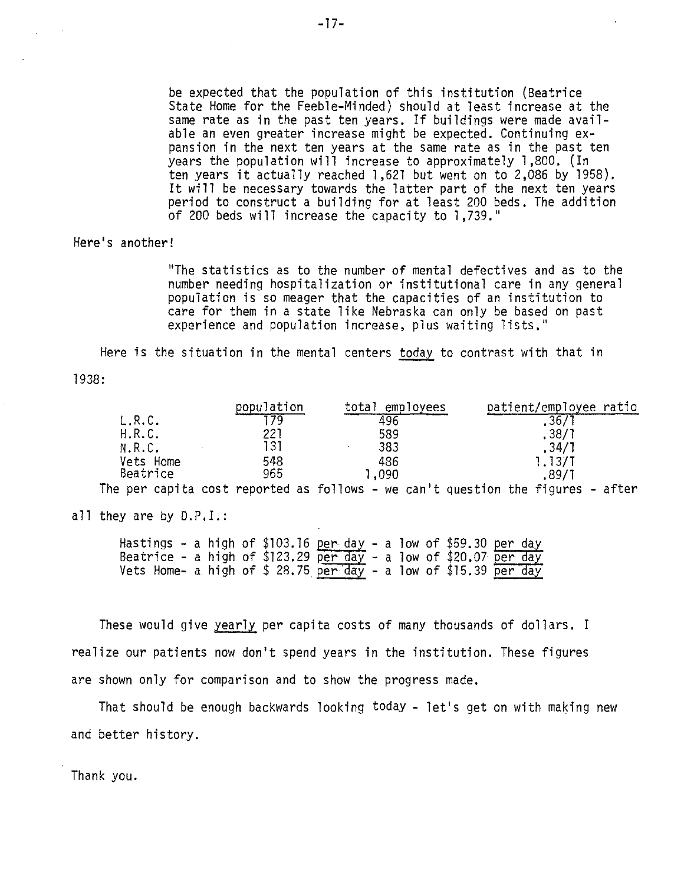be expected that the population of this institution (Beatrice State Home for the Feeble-Minded) should at least increase at the same rate as in the past ten years. If buildings were made available an even greater increase might be expected. Continuing expansion in the next ten years at the same rate as in the past ten years the population will increase to approximately 1,800. (In ten years it actually reached l ,621 but went on to 2,086 by 1958). It will be necessary towards the latter part of the next ten years period to construct a building for at least 200 beds. The addition of 200 beds will increase the capacity to l ,739."

Here's another!

"The statistics as to the number of mental defectives and as to the number needing hospitalization or institutional care in any general population is so meager that the capacities of an institution to care for them in a state like Nebraska can only be based on past experience and population increase, plus waiting lists.''

Here is the situation in the mental centers today to contrast with that in

1938:

|           | population | total<br>employees | patient/employee ratio             |
|-----------|------------|--------------------|------------------------------------|
| L.R.C.    |            | 496                | $\overline{.}36$                   |
| H.R.C.    | 221        | 589                | , 38/7                             |
| N.R.C.    | 31         | 383                | .34/7                              |
| Vets Home | 548        | 486                | 1.13/1                             |
| Beatrice  | 965        | ,090               | .89/7                              |
| . .       |            | . .                | $\sim$ $\sim$<br>. .<br>. .<br>. . |

The per capita cost reported as follows - we can't question the figures - after

all they are by D.P.I.:

| Hastings - a high of \$103.16 <u>per day</u> - a low of \$59.30 <u>per day</u>                                                                                   |  |  |  |  |  |  |
|------------------------------------------------------------------------------------------------------------------------------------------------------------------|--|--|--|--|--|--|
|                                                                                                                                                                  |  |  |  |  |  |  |
| Beatrice - a high of \$123.29 <u>per day</u> - a low of \$20.07 <u>per day</u><br>Vets Home- a high of \$ 28.75 <u>per day</u> - a low of \$15.39 <u>per day</u> |  |  |  |  |  |  |

These would give yearly per capita costs of many thousands of dollars. I realize our patients now don't spend years in the institution. These figures are shown only for comparison and to show the progress made.

That should be enough backwards looking today - let's get on with making new and better history.

Thank you.